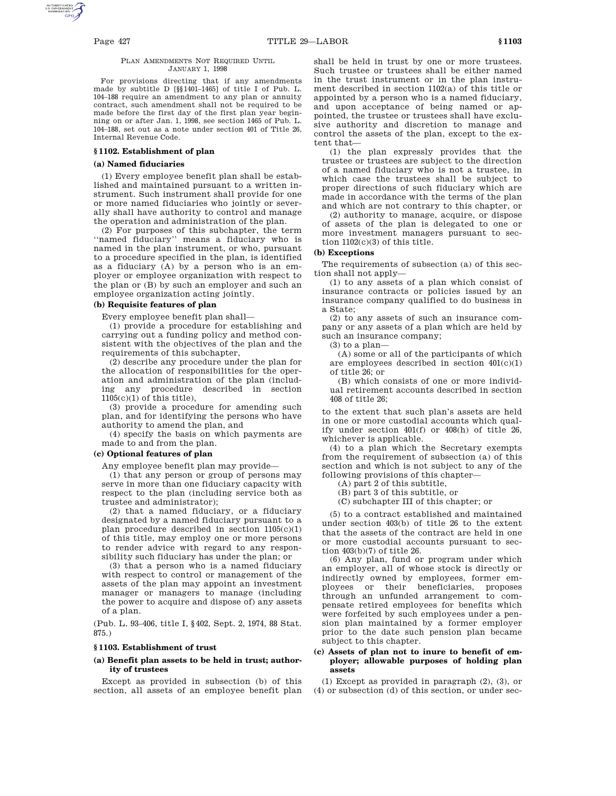### PLAN AMENDMENTS NOT REQUIRED UNTIL JANUARY 1, 1998

For provisions directing that if any amendments made by subtitle D [§§1401–1465] of title I of Pub. L. 104–188 require an amendment to any plan or annuity contract, such amendment shall not be required to be made before the first day of the first plan year beginning on or after Jan. 1, 1998, see section 1465 of Pub. L. 104–188, set out as a note under section 401 of Title 26, Internal Revenue Code.

# **§ 1102. Establishment of plan**

# **(a) Named fiduciaries**

(1) Every employee benefit plan shall be established and maintained pursuant to a written instrument. Such instrument shall provide for one or more named fiduciaries who jointly or severally shall have authority to control and manage the operation and administration of the plan.

(2) For purposes of this subchapter, the term ''named fiduciary'' means a fiduciary who is named in the plan instrument, or who, pursuant to a procedure specified in the plan, is identified as a fiduciary (A) by a person who is an employer or employee organization with respect to the plan or (B) by such an employer and such an employee organization acting jointly.

# **(b) Requisite features of plan**

Every employee benefit plan shall—

(1) provide a procedure for establishing and carrying out a funding policy and method consistent with the objectives of the plan and the requirements of this subchapter,

(2) describe any procedure under the plan for the allocation of responsibilities for the operation and administration of the plan (including any procedure described in section  $1105(c)(1)$  of this title),

(3) provide a procedure for amending such plan, and for identifying the persons who have authority to amend the plan, and

(4) specify the basis on which payments are made to and from the plan.

# **(c) Optional features of plan**

Any employee benefit plan may provide—

(1) that any person or group of persons may serve in more than one fiduciary capacity with respect to the plan (including service both as trustee and administrator);

(2) that a named fiduciary, or a fiduciary designated by a named fiduciary pursuant to a plan procedure described in section 1105(c)(1) of this title, may employ one or more persons to render advice with regard to any responsibility such fiduciary has under the plan; or

(3) that a person who is a named fiduciary with respect to control or management of the assets of the plan may appoint an investment manager or managers to manage (including the power to acquire and dispose of) any assets of a plan.

(Pub. L. 93–406, title I, §402, Sept. 2, 1974, 88 Stat. 875.)

# **§ 1103. Establishment of trust**

## **(a) Benefit plan assets to be held in trust; authority of trustees**

Except as provided in subsection (b) of this section, all assets of an employee benefit plan shall be held in trust by one or more trustees. Such trustee or trustees shall be either named in the trust instrument or in the plan instrument described in section 1102(a) of this title or appointed by a person who is a named fiduciary, and upon acceptance of being named or appointed, the trustee or trustees shall have exclusive authority and discretion to manage and control the assets of the plan, except to the extent that—

(1) the plan expressly provides that the trustee or trustees are subject to the direction of a named fiduciary who is not a trustee, in which case the trustees shall be subject to proper directions of such fiduciary which are made in accordance with the terms of the plan and which are not contrary to this chapter, or

(2) authority to manage, acquire, or dispose of assets of the plan is delegated to one or more investment managers pursuant to section 1102(c)(3) of this title.

# **(b) Exceptions**

The requirements of subsection (a) of this section shall not apply—

(1) to any assets of a plan which consist of insurance contracts or policies issued by an insurance company qualified to do business in a State;

(2) to any assets of such an insurance company or any assets of a plan which are held by such an insurance company;

(3) to a plan—

(A) some or all of the participants of which are employees described in section  $401(c)(1)$ of title 26; or

(B) which consists of one or more individual retirement accounts described in section 408 of title 26;

to the extent that such plan's assets are held in one or more custodial accounts which qualify under section 401(f) or 408(h) of title 26, whichever is applicable.

(4) to a plan which the Secretary exempts from the requirement of subsection (a) of this section and which is not subject to any of the following provisions of this chapter—

(A) part 2 of this subtitle,

(B) part 3 of this subtitle, or

(C) subchapter III of this chapter; or

(5) to a contract established and maintained under section 403(b) of title 26 to the extent that the assets of the contract are held in one or more custodial accounts pursuant to section 403(b)(7) of title 26.

(6) Any plan, fund or program under which an employer, all of whose stock is directly or indirectly owned by employees, former employees or their beneficiaries, proposes through an unfunded arrangement to compensate retired employees for benefits which were forfeited by such employees under a pension plan maintained by a former employer prior to the date such pension plan became subject to this chapter.

# **(c) Assets of plan not to inure to benefit of employer; allowable purposes of holding plan assets**

(1) Except as provided in paragraph (2), (3), or (4) or subsection (d) of this section, or under sec-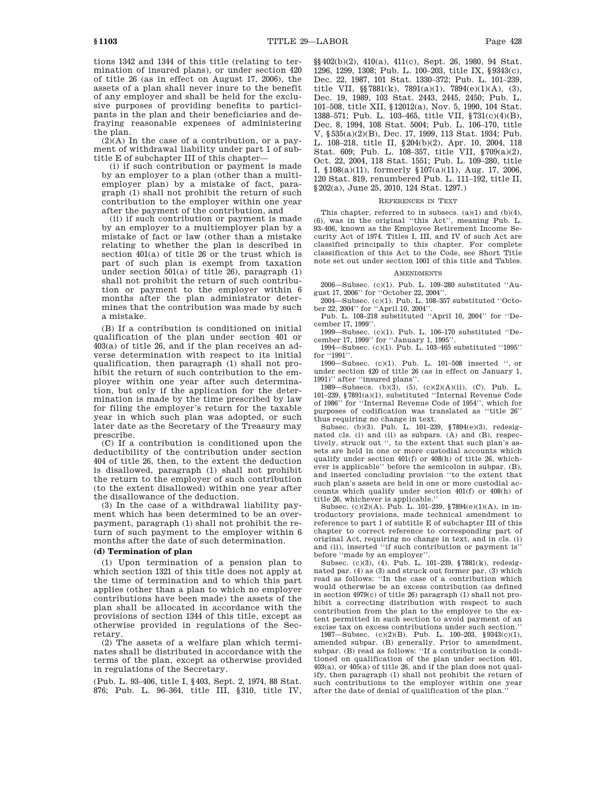tions 1342 and 1344 of this title (relating to termination of insured plans), or under section 420 of title 26 (as in effect on August 17, 2006), the assets of a plan shall never inure to the benefit of any employer and shall be held for the exclusive purposes of providing benefits to participants in the plan and their beneficiaries and defraying reasonable expenses of administering the plan.

 $(2)(A)$  In the case of a contribution, or a payment of withdrawal liability under part 1 of subtitle E of subchapter III of this chapter—

(i) if such contribution or payment is made by an employer to a plan (other than a multiemployer plan) by a mistake of fact, paragraph (1) shall not prohibit the return of such contribution to the employer within one year after the payment of the contribution, and

(ii) if such contribution or payment is made by an employer to a multiemployer plan by a mistake of fact or law (other than a mistake relating to whether the plan is described in section 401(a) of title 26 or the trust which is part of such plan is exempt from taxation under section 501(a) of title 26), paragraph (1) shall not prohibit the return of such contribution or payment to the employer within 6 months after the plan administrator determines that the contribution was made by such a mistake.

(B) If a contribution is conditioned on initial qualification of the plan under section 401 or 403(a) of title 26, and if the plan receives an adverse determination with respect to its initial qualification, then paragraph (1) shall not prohibit the return of such contribution to the employer within one year after such determination, but only if the application for the determination is made by the time prescribed by law for filing the employer's return for the taxable year in which such plan was adopted, or such later date as the Secretary of the Treasury may prescribe.

(C) If a contribution is conditioned upon the deductibility of the contribution under section 404 of title 26, then, to the extent the deduction is disallowed, paragraph (1) shall not prohibit the return to the employer of such contribution (to the extent disallowed) within one year after the disallowance of the deduction.

(3) In the case of a withdrawal liability payment which has been determined to be an overpayment, paragraph (1) shall not prohibit the return of such payment to the employer within 6 months after the date of such determination.

# **(d) Termination of plan**

(1) Upon termination of a pension plan to which section 1321 of this title does not apply at the time of termination and to which this part applies (other than a plan to which no employer contributions have been made) the assets of the plan shall be allocated in accordance with the provisions of section 1344 of this title, except as otherwise provided in regulations of the Secretary.

(2) The assets of a welfare plan which terminates shall be distributed in accordance with the terms of the plan, except as otherwise provided in regulations of the Secretary.

(Pub. L. 93–406, title I, §403, Sept. 2, 1974, 88 Stat. 876; Pub. L. 96–364, title III, §310, title IV, §§402(b)(2), 410(a), 411(c), Sept. 26, 1980, 94 Stat. 1296, 1299, 1308; Pub. L. 100–203, title IX, §9343(c), Dec. 22, 1987, 101 Stat. 1330–372; Pub. L. 101–239, title VII,  $\S 7881(k)$ ,  $7891(a)(1)$ ,  $7894(e)(1)(A)$ , (3), Dec. 19, 1989, 103 Stat. 2443, 2445, 2450; Pub. L. 101–508, title XII, §12012(a), Nov. 5, 1990, 104 Stat. 1388–571; Pub. L. 103–465, title VII, §731(c)(4)(B), Dec. 8, 1994, 108 Stat. 5004; Pub. L. 106–170, title V, §535(a)(2)(B), Dec. 17, 1999, 113 Stat. 1934; Pub. L. 108–218, title II, §204(b)(2), Apr. 10, 2004, 118 Stat. 609; Pub. L. 108–357, title VII, §709(a)(2), Oct. 22, 2004, 118 Stat. 1551; Pub. L. 109–280, title I, §108(a)(11), formerly §107(a)(11), Aug. 17, 2006, 120 Stat. 819, renumbered Pub. L. 111–192, title II, §202(a), June 25, 2010, 124 Stat. 1297.)

### REFERENCES IN TEXT

This chapter, referred to in subsecs.  $(a)(1)$  and  $(b)(4)$ , (6), was in the original "this Act", meaning Pub. L. 93–406, known as the Employee Retirement Income Security Act of 1974. Titles I, III, and IV of such Act are classified principally to this chapter. For complete classification of this Act to the Code, see Short Title note set out under section 1001 of this title and Tables.

### **AMENDMENTS**

2006—Subsec. (c)(1). Pub. L. 109–280 substituted ''August 17, 2006'' for ''October 22, 2004''.

2004—Subsec. (c)(1). Pub. L. 108–357 substituted ''October 22, 2004'' for ''April 10, 2004''.

Pub. L. 108–218 substituted ''April 10, 2004'' for ''December 17, 1999''.

1999—Subsec. (c)(1). Pub. L. 106–170 substituted ''December 17, 1999'' for ''January 1, 1995''.

1994—Subsec. (c)(1). Pub. L. 103–465 substituted ''1995'' for "1991".

1990—Subsec. (c)(1). Pub. L. 101–508 inserted '', or under section 420 of title 26 (as in effect on January 1, 1991)'' after ''insured plans''.

1989—Subsecs. (b)(3), (5), (c)(2)(A)(ii), (C). Pub. L. 101–239, §7891(a)(1), substituted ''Internal Revenue Code of 1986'' for ''Internal Revenue Code of 1954'', which for purposes of codification was translated as ''title 26'' thus requiring no change in text.

Subsec. (b)(3). Pub. L. 101–239, §7894(e)(3), redesignated cls. (i) and (ii) as subpars. (A) and (B), respectively, struck out '', to the extent that such plan's assets are held in one or more custodial accounts which qualify under section 401(f) or 408(h) of title 26, whichever is applicable'' before the semicolon in subpar. (B), and inserted concluding provision ''to the extent that such plan's assets are held in one or more custodial accounts which qualify under section 401(f) or 408(h) of title 26, whichever is applicable.''

Subsec. (c)(2)(A). Pub. L. 101–239, §7894(e)(1)(A), in introductory provisions, made technical amendment to reference to part 1 of subtitle E of subchapter III of this chapter to correct reference to corresponding part of original Act, requiring no change in text, and in cls. (i) and (ii), inserted "if such contribution or payment is' before ''made by an employer''.

Subsec. (c)(3), (4). Pub. L. 101–239, §7881(k), redesignated par. (4) as (3) and struck out former par. (3) which read as follows: ''In the case of a contribution which would otherwise be an excess contribution (as defined in section 4979(c) of title 26) paragraph (1) shall not prohibit a correcting distribution with respect to such contribution from the plan to the employer to the extent permitted in such section to avoid payment of an excise tax on excess contributions under such section.

1987—Subsec. (c)(2)(B). Pub. L. 100–203, §9343(c)(1), amended subpar. (B) generally. Prior to amendment, subpar. (B) read as follows: ''If a contribution is conditioned on qualification of the plan under section 401, 403(a), or 405(a) of title 26, and if the plan does not qualify, then paragraph (1) shall not prohibit the return of such contributions to the employer within one year after the date of denial of qualification of the plan.